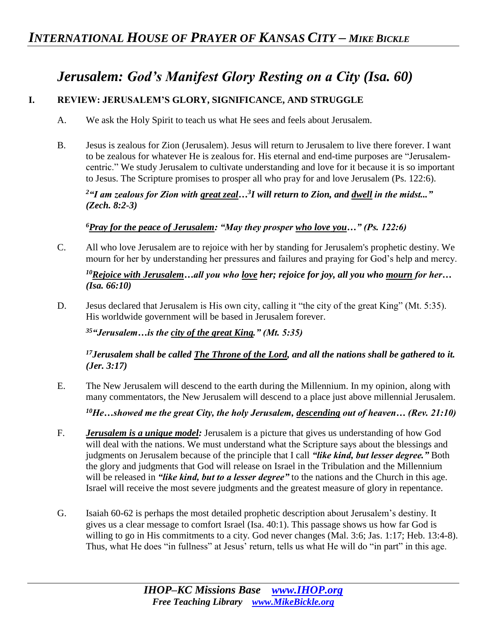# *Jerusalem: God's Manifest Glory Resting on a City (Isa. 60)*

## **I. REVIEW: JERUSALEM'S GLORY, SIGNIFICANCE, AND STRUGGLE**

- A. We ask the Holy Spirit to teach us what He sees and feels about Jerusalem.
- B. Jesus is zealous for Zion (Jerusalem). Jesus will return to Jerusalem to live there forever. I want to be zealous for whatever He is zealous for. His eternal and end-time purposes are "Jerusalemcentric." We study Jerusalem to cultivate understanding and love for it because it is so important to Jesus. The Scripture promises to prosper all who pray for and love Jerusalem (Ps. 122:6).

*<sup>2</sup>"I am zealous for Zion with great zeal…<sup>3</sup> I will return to Zion, and dwell in the midst..." (Zech. 8:2-3)* 

*<sup>6</sup>Pray for the peace of Jerusalem: "May they prosper who love you…" (Ps. 122:6)* 

C. All who love Jerusalem are to rejoice with her by standing for Jerusalem's prophetic destiny. We mourn for her by understanding her pressures and failures and praying for God's help and mercy.

*<sup>10</sup>Rejoice with Jerusalem…all you who love her; rejoice for joy, all you who mourn for her… (Isa. 66:10)*

D. Jesus declared that Jerusalem is His own city, calling it "the city of the great King" (Mt. 5:35). His worldwide government will be based in Jerusalem forever.

*<sup>35</sup>"Jerusalem…is the city of the great King." (Mt. 5:35)*

*<sup>17</sup>Jerusalem shall be called The Throne of the Lord, and all the nations shall be gathered to it. (Jer. 3:17)* 

E. The New Jerusalem will descend to the earth during the Millennium. In my opinion, along with many commentators, the New Jerusalem will descend to a place just above millennial Jerusalem.

*<sup>10</sup>He…showed me the great City, the holy Jerusalem, descending out of heaven… (Rev. 21:10)*

- F. *Jerusalem is a unique model:* Jerusalem is a picture that gives us understanding of how God will deal with the nations. We must understand what the Scripture says about the blessings and judgments on Jerusalem because of the principle that I call *"like kind, but lesser degree."* Both the glory and judgments that God will release on Israel in the Tribulation and the Millennium will be released in *"like kind, but to a lesser degree"* to the nations and the Church in this age. Israel will receive the most severe judgments and the greatest measure of glory in repentance.
- G. Isaiah 60-62 is perhaps the most detailed prophetic description about Jerusalem's destiny. It gives us a clear message to comfort Israel (Isa. 40:1). This passage shows us how far God is willing to go in His commitments to a city. God never changes (Mal. 3:6; Jas. 1:17; Heb. 13:4-8). Thus, what He does "in fullness" at Jesus' return, tells us what He will do "in part" in this age.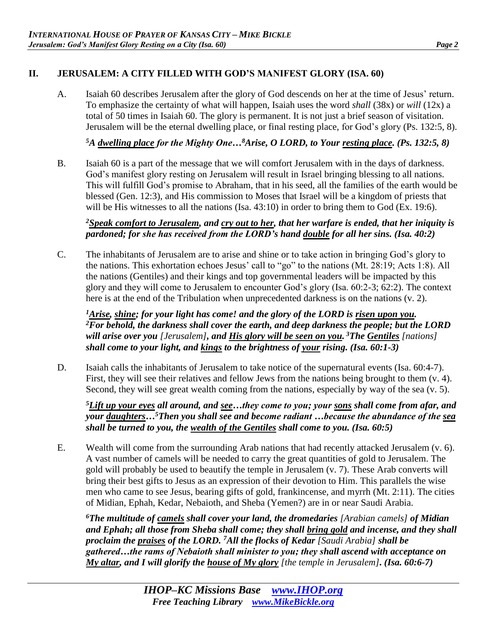### **II. JERUSALEM: A CITY FILLED WITH GOD'S MANIFEST GLORY (ISA. 60)**

A. Isaiah 60 describes Jerusalem after the glory of God descends on her at the time of Jesus' return. To emphasize the certainty of what will happen, Isaiah uses the word *shall* (38x) or *will* (12x) a total of 50 times in Isaiah 60. The glory is permanent. It is not just a brief season of visitation. Jerusalem will be the eternal dwelling place, or final resting place, for God's glory (Ps. 132:5, 8).

*<sup>5</sup>A dwelling place for the Mighty One…<sup>8</sup>Arise, O LORD, to Your resting place. (Ps. 132:5, 8)* 

B. Isaiah 60 is a part of the message that we will comfort Jerusalem with in the days of darkness. God's manifest glory resting on Jerusalem will result in Israel bringing blessing to all nations. This will fulfill God's promise to Abraham, that in his seed, all the families of the earth would be blessed (Gen. 12:3), and His commission to Moses that Israel will be a kingdom of priests that will be His witnesses to all the nations (Isa. 43:10) in order to bring them to God (Ex. 19:6).

#### *<sup>2</sup>Speak comfort to Jerusalem, and cry out to her, that her warfare is ended, that her iniquity is pardoned; for she has received from the LORD's hand double for all her sins. (Isa. 40:2)*

C. The inhabitants of Jerusalem are to arise and shine or to take action in bringing God's glory to the nations. This exhortation echoes Jesus' call to "go" to the nations (Mt. 28:19; Acts 1:8). All the nations (Gentiles) and their kings and top governmental leaders will be impacted by this glory and they will come to Jerusalem to encounter God's glory (Isa. 60:2-3; 62:2). The context here is at the end of the Tribulation when unprecedented darkness is on the nations (v. 2).

*<sup>1</sup>Arise, shine; for your light has come! and the glory of the LORD is risen upon you. <sup>2</sup>For behold, the darkness shall cover the earth, and deep darkness the people; but the LORD will arise over you [Jerusalem], and His glory will be seen on you. <sup>3</sup>The Gentiles [nations] shall come to your light, and kings to the brightness of your rising. (Isa. 60:1-3)* 

D. Isaiah calls the inhabitants of Jerusalem to take notice of the supernatural events (Isa. 60:4-7). First, they will see their relatives and fellow Jews from the nations being brought to them  $(v, 4)$ . Second, they will see great wealth coming from the nations, especially by way of the sea (v. 5).

*<sup>5</sup>Lift up your eyes all around, and see…they come to you; your sons shall come from afar, and your daughters…<sup>5</sup>Then you shall see and become radiant …because the abundance of the sea shall be turned to you, the wealth of the Gentiles shall come to you. (Isa. 60:5)* 

E. Wealth will come from the surrounding Arab nations that had recently attacked Jerusalem (v. 6). A vast number of camels will be needed to carry the great quantities of gold to Jerusalem. The gold will probably be used to beautify the temple in Jerusalem (v. 7). These Arab converts will bring their best gifts to Jesus as an expression of their devotion to Him. This parallels the wise men who came to see Jesus, bearing gifts of gold, frankincense, and myrrh (Mt. 2:11). The cities of Midian, Ephah, Kedar, Nebaioth, and Sheba (Yemen?) are in or near Saudi Arabia.

*<sup>6</sup>The multitude of camels shall cover your land, the dromedaries [Arabian camels] of Midian and Ephah; all those from Sheba shall come; they shall bring gold and incense, and they shall proclaim the praises of the LORD. <sup>7</sup>All the flocks of Kedar [Saudi Arabia] shall be gathered…the rams of Nebaioth shall minister to you; they shall ascend with acceptance on My altar, and I will glorify the house of My glory [the temple in Jerusalem]. (Isa. 60:6-7)*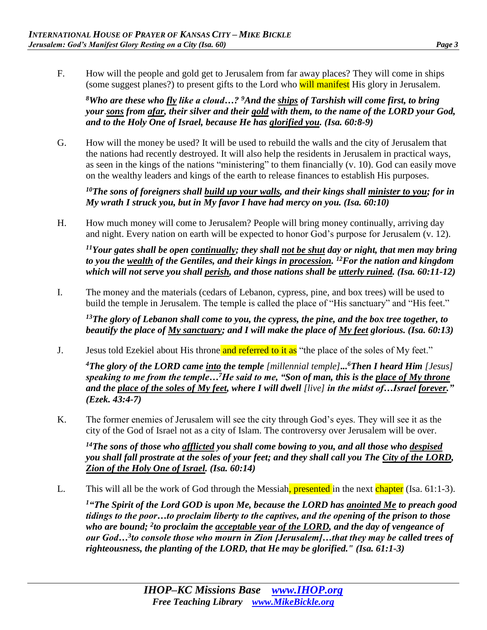F. How will the people and gold get to Jerusalem from far away places? They will come in ships (some suggest planes?) to present gifts to the Lord who will manifest His glory in Jerusalem.

*<sup>8</sup>Who are these who fly like a cloud…? <sup>9</sup>And the ships of Tarshish will come first, to bring your sons from afar, their silver and their gold with them, to the name of the LORD your God, and to the Holy One of Israel, because He has glorified you. (Isa. 60:8-9)* 

G. How will the money be used? It will be used to rebuild the walls and the city of Jerusalem that the nations had recently destroyed. It will also help the residents in Jerusalem in practical ways, as seen in the kings of the nations "ministering" to them financially (v. 10). God can easily move on the wealthy leaders and kings of the earth to release finances to establish His purposes.

*<sup>10</sup>The sons of foreigners shall build up your walls, and their kings shall minister to you; for in My wrath I struck you, but in My favor I have had mercy on you. (Isa. 60:10)* 

H. How much money will come to Jerusalem? People will bring money continually, arriving day and night. Every nation on earth will be expected to honor God's purpose for Jerusalem (v. 12).

*<sup>11</sup>Your gates shall be open continually; they shall not be shut day or night, that men may bring to you the wealth of the Gentiles, and their kings in procession. <sup>12</sup>For the nation and kingdom which will not serve you shall perish, and those nations shall be utterly ruined. (Isa. 60:11-12)* 

I. The money and the materials (cedars of Lebanon, cypress, pine, and box trees) will be used to build the temple in Jerusalem. The temple is called the place of "His sanctuary" and "His feet."

*<sup>13</sup>The glory of Lebanon shall come to you, the cypress, the pine, and the box tree together, to beautify the place of My sanctuary; and I will make the place of My feet glorious. (Isa. 60:13)*

J. Jesus told Ezekiel about His throne and referred to it as "the place of the soles of My feet."

*<sup>4</sup>The glory of the LORD came into the temple [millennial temple]... <sup>6</sup>Then I heard Him [Jesus] speaking to me from the temple…<sup>7</sup>He said to me, "Son of man, this is the place of My throne and the place of the soles of My feet, where I will dwell [live] in the midst of…Israel forever." (Ezek. 43:4-7)* 

K. The former enemies of Jerusalem will see the city through God's eyes. They will see it as the city of the God of Israel not as a city of Islam. The controversy over Jerusalem will be over.

*<sup>14</sup>The sons of those who afflicted you shall come bowing to you, and all those who despised you shall fall prostrate at the soles of your feet; and they shall call you The City of the LORD, Zion of the Holy One of Israel. (Isa. 60:14)* 

L. This will all be the work of God through the Messiah, presented in the next chapter (Isa. 61:1-3).

*<sup>1</sup>"The Spirit of the Lord GOD is upon Me, because the LORD has anointed Me to preach good tidings to the poor…to proclaim liberty to the captives, and the opening of the prison to those who are bound; <sup>2</sup> to proclaim the acceptable year of the LORD, and the day of vengeance of our God…<sup>3</sup> to console those who mourn in Zion [Jerusalem]…that they may be called trees of righteousness, the planting of the LORD, that He may be glorified." (Isa. 61:1-3)*